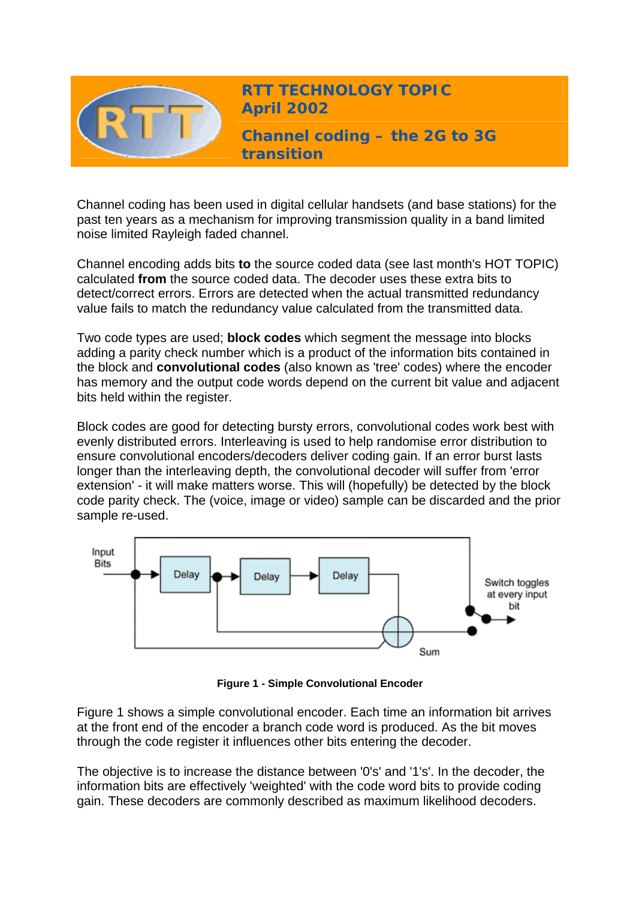

**RTT TECHNOLOGY TOPIC April 2002**

**Channel coding – the 2G to 3G transition** 

Channel coding has been used in digital cellular handsets (and base stations) for the past ten years as a mechanism for improving transmission quality in a band limited noise limited Rayleigh faded channel.

Channel encoding adds bits **to** the source coded data (see last month's HOT TOPIC) calculated **from** the source coded data. The decoder uses these extra bits to detect/correct errors. Errors are detected when the actual transmitted redundancy value fails to match the redundancy value calculated from the transmitted data.

Two code types are used; **block codes** which segment the message into blocks adding a parity check number which is a product of the information bits contained in the block and **convolutional codes** (also known as 'tree' codes) where the encoder has memory and the output code words depend on the current bit value and adjacent bits held within the register.

Block codes are good for detecting bursty errors, convolutional codes work best with evenly distributed errors. Interleaving is used to help randomise error distribution to ensure convolutional encoders/decoders deliver coding gain. If an error burst lasts longer than the interleaving depth, the convolutional decoder will suffer from 'error extension' - it will make matters worse. This will (hopefully) be detected by the block code parity check. The (voice, image or video) sample can be discarded and the prior sample re-used.



**Figure 1 - Simple Convolutional Encoder**

Figure 1 shows a simple convolutional encoder. Each time an information bit arrives at the front end of the encoder a branch code word is produced. As the bit moves through the code register it influences other bits entering the decoder.

The objective is to increase the distance between '0's' and '1's'. In the decoder, the information bits are effectively 'weighted' with the code word bits to provide coding gain. These decoders are commonly described as maximum likelihood decoders.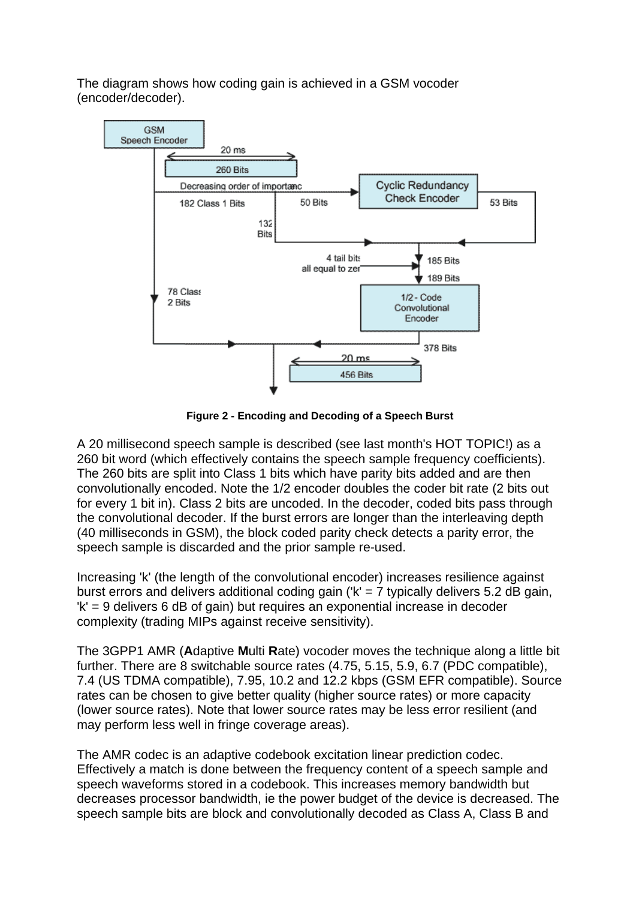The diagram shows how coding gain is achieved in a GSM vocoder (encoder/decoder).



**Figure 2 - Encoding and Decoding of a Speech Burst**

A 20 millisecond speech sample is described (see last month's HOT TOPIC!) as a 260 bit word (which effectively contains the speech sample frequency coefficients). The 260 bits are split into Class 1 bits which have parity bits added and are then convolutionally encoded. Note the 1/2 encoder doubles the coder bit rate (2 bits out for every 1 bit in). Class 2 bits are uncoded. In the decoder, coded bits pass through the convolutional decoder. If the burst errors are longer than the interleaving depth (40 milliseconds in GSM), the block coded parity check detects a parity error, the speech sample is discarded and the prior sample re-used.

Increasing 'k' (the length of the convolutional encoder) increases resilience against burst errors and delivers additional coding gain ( $k' = 7$  typically delivers 5.2 dB gain, 'k' = 9 delivers 6 dB of gain) but requires an exponential increase in decoder complexity (trading MIPs against receive sensitivity).

The 3GPP1 AMR (**A**daptive **M**ulti **R**ate) vocoder moves the technique along a little bit further. There are 8 switchable source rates (4.75, 5.15, 5.9, 6.7 (PDC compatible), 7.4 (US TDMA compatible), 7.95, 10.2 and 12.2 kbps (GSM EFR compatible). Source rates can be chosen to give better quality (higher source rates) or more capacity (lower source rates). Note that lower source rates may be less error resilient (and may perform less well in fringe coverage areas).

The AMR codec is an adaptive codebook excitation linear prediction codec. Effectively a match is done between the frequency content of a speech sample and speech waveforms stored in a codebook. This increases memory bandwidth but decreases processor bandwidth, ie the power budget of the device is decreased. The speech sample bits are block and convolutionally decoded as Class A, Class B and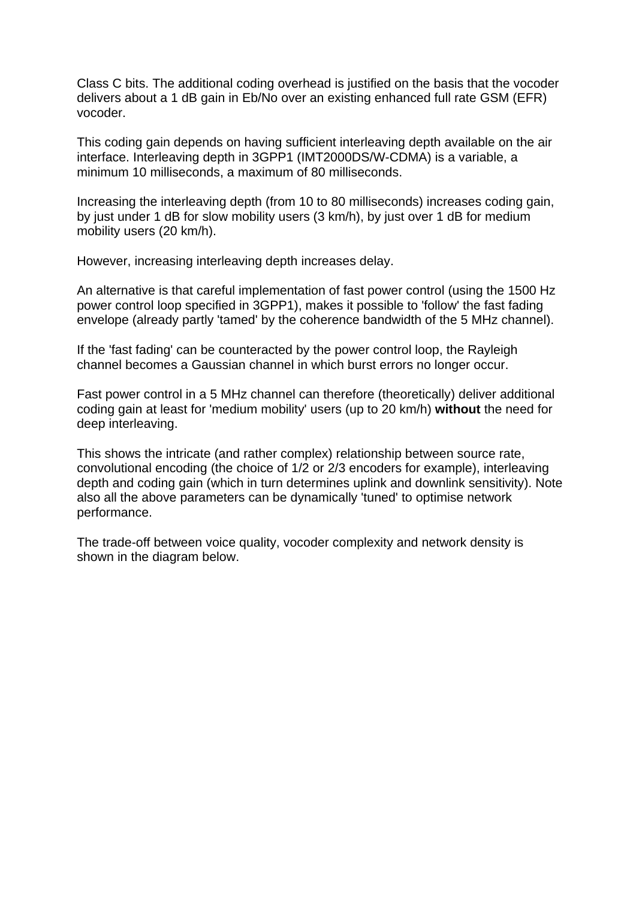Class C bits. The additional coding overhead is justified on the basis that the vocoder delivers about a 1 dB gain in Eb/No over an existing enhanced full rate GSM (EFR) vocoder.

This coding gain depends on having sufficient interleaving depth available on the air interface. Interleaving depth in 3GPP1 (IMT2000DS/W-CDMA) is a variable, a minimum 10 milliseconds, a maximum of 80 milliseconds.

Increasing the interleaving depth (from 10 to 80 milliseconds) increases coding gain, by just under 1 dB for slow mobility users (3 km/h), by just over 1 dB for medium mobility users (20 km/h).

However, increasing interleaving depth increases delay.

An alternative is that careful implementation of fast power control (using the 1500 Hz power control loop specified in 3GPP1), makes it possible to 'follow' the fast fading envelope (already partly 'tamed' by the coherence bandwidth of the 5 MHz channel).

If the 'fast fading' can be counteracted by the power control loop, the Rayleigh channel becomes a Gaussian channel in which burst errors no longer occur.

Fast power control in a 5 MHz channel can therefore (theoretically) deliver additional coding gain at least for 'medium mobility' users (up to 20 km/h) **without** the need for deep interleaving.

This shows the intricate (and rather complex) relationship between source rate, convolutional encoding (the choice of 1/2 or 2/3 encoders for example), interleaving depth and coding gain (which in turn determines uplink and downlink sensitivity). Note also all the above parameters can be dynamically 'tuned' to optimise network performance.

The trade-off between voice quality, vocoder complexity and network density is shown in the diagram below.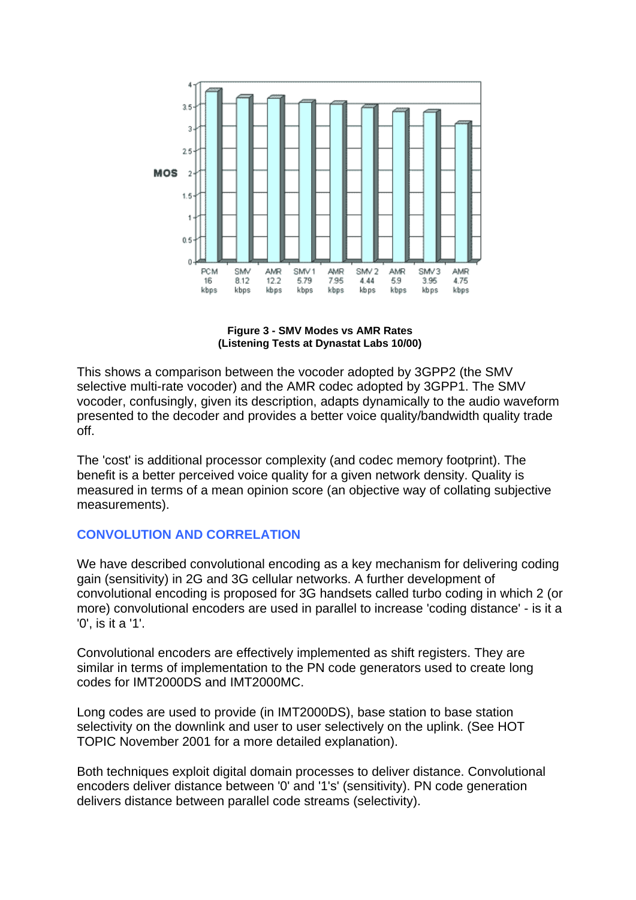

**Figure 3 - SMV Modes vs AMR Rates (Listening Tests at Dynastat Labs 10/00)**

This shows a comparison between the vocoder adopted by 3GPP2 (the SMV selective multi-rate vocoder) and the AMR codec adopted by 3GPP1. The SMV vocoder, confusingly, given its description, adapts dynamically to the audio waveform presented to the decoder and provides a better voice quality/bandwidth quality trade off.

The 'cost' is additional processor complexity (and codec memory footprint). The benefit is a better perceived voice quality for a given network density. Quality is measured in terms of a mean opinion score (an objective way of collating subjective measurements).

## **CONVOLUTION AND CORRELATION**

We have described convolutional encoding as a key mechanism for delivering coding gain (sensitivity) in 2G and 3G cellular networks. A further development of convolutional encoding is proposed for 3G handsets called turbo coding in which 2 (or more) convolutional encoders are used in parallel to increase 'coding distance' - is it a '0', is it a '1'.

Convolutional encoders are effectively implemented as shift registers. They are similar in terms of implementation to the PN code generators used to create long codes for IMT2000DS and IMT2000MC.

Long codes are used to provide (in IMT2000DS), base station to base station selectivity on the downlink and user to user selectively on the uplink. (See HOT TOPIC November 2001 for a more detailed explanation).

Both techniques exploit digital domain processes to deliver distance. Convolutional encoders deliver distance between '0' and '1's' (sensitivity). PN code generation delivers distance between parallel code streams (selectivity).